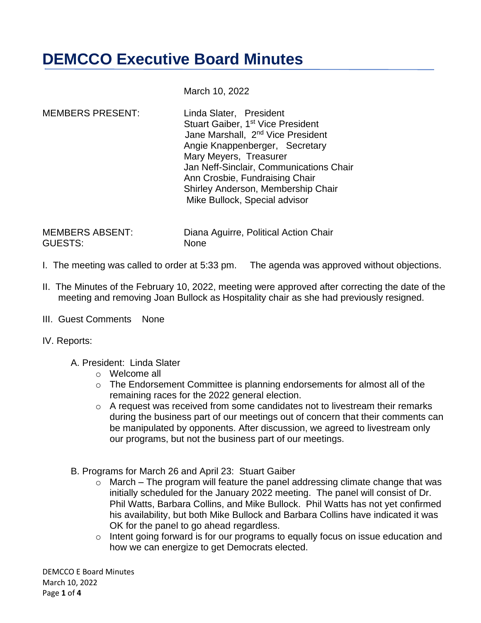## **DEMCCO Executive Board Minutes**

March 10, 2022

MEMBERS PRESENT: Linda Slater, President Stuart Gaiber, 1<sup>st</sup> Vice President Jane Marshall, 2nd Vice President Angie Knappenberger, Secretary Mary Meyers, Treasurer Jan Neff-Sinclair, Communications Chair Ann Crosbie, Fundraising Chair Shirley Anderson, Membership Chair Mike Bullock, Special advisor

GUESTS: None

MEMBERS ABSENT: Diana Aguirre, Political Action Chair

- I. The meeting was called to order at 5:33 pm. The agenda was approved without objections.
- II. The Minutes of the February 10, 2022, meeting were approved after correcting the date of the meeting and removing Joan Bullock as Hospitality chair as she had previously resigned.
- III. Guest Comments None
- IV. Reports:
	- A. President: Linda Slater
		- o Welcome all
		- o The Endorsement Committee is planning endorsements for almost all of the remaining races for the 2022 general election.
		- o A request was received from some candidates not to livestream their remarks during the business part of our meetings out of concern that their comments can be manipulated by opponents. After discussion, we agreed to livestream only our programs, but not the business part of our meetings.
	- B. Programs for March 26 and April 23: Stuart Gaiber
		- $\circ$  March The program will feature the panel addressing climate change that was initially scheduled for the January 2022 meeting. The panel will consist of Dr. Phil Watts, Barbara Collins, and Mike Bullock. Phil Watts has not yet confirmed his availability, but both Mike Bullock and Barbara Collins have indicated it was OK for the panel to go ahead regardless.
		- o Intent going forward is for our programs to equally focus on issue education and how we can energize to get Democrats elected.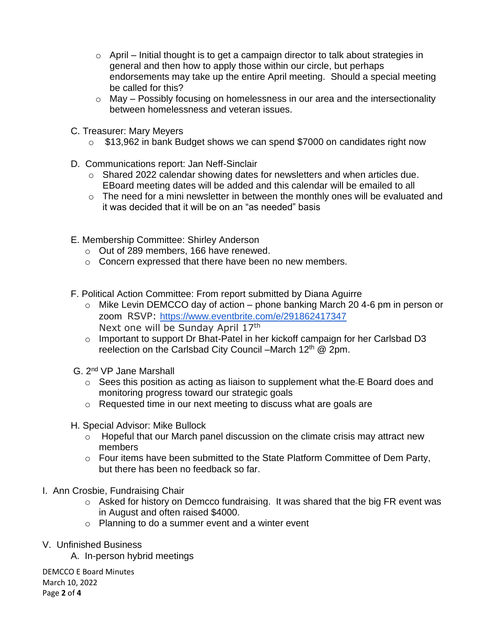- $\circ$  April Initial thought is to get a campaign director to talk about strategies in general and then how to apply those within our circle, but perhaps endorsements may take up the entire April meeting. Should a special meeting be called for this?
- o May Possibly focusing on homelessness in our area and the intersectionality between homelessness and veteran issues.
- C. Treasurer: Mary Meyers
	- o \$13,962 in bank Budget shows we can spend \$7000 on candidates right now
- D. Communications report: Jan Neff-Sinclair
	- o Shared 2022 calendar showing dates for newsletters and when articles due. EBoard meeting dates will be added and this calendar will be emailed to all
	- o The need for a mini newsletter in between the monthly ones will be evaluated and it was decided that it will be on an "as needed" basis
- E. Membership Committee: Shirley Anderson
	- o Out of 289 members, 166 have renewed.
	- o Concern expressed that there have been no new members.
- F. Political Action Committee: From report submitted by Diana Aguirre
	- $\circ$  Mike Levin DEMCCO day of action phone banking March 20 4-6 pm in person or zoom RSVP: <https://www.eventbrite.com/e/291862417347> Next one will be Sunday April 17<sup>th</sup>
	- o Important to support Dr Bhat-Patel in her kickoff campaign for her Carlsbad D3 reelection on the Carlsbad City Council –March 12<sup>th</sup> @ 2pm.
- G. 2nd VP Jane Marshall
	- o Sees this position as acting as liaison to supplement what the E Board does and monitoring progress toward our strategic goals
	- o Requested time in our next meeting to discuss what are goals are
- H. Special Advisor: Mike Bullock
	- o Hopeful that our March panel discussion on the climate crisis may attract new members
	- o Four items have been submitted to the State Platform Committee of Dem Party, but there has been no feedback so far.
- I. Ann Crosbie, Fundraising Chair
	- o Asked for history on Demcco fundraising. It was shared that the big FR event was in August and often raised \$4000.
	- o Planning to do a summer event and a winter event
- V. Unfinished Business
	- A. In-person hybrid meetings

DEMCCO E Board Minutes March 10, 2022 Page **2** of **4**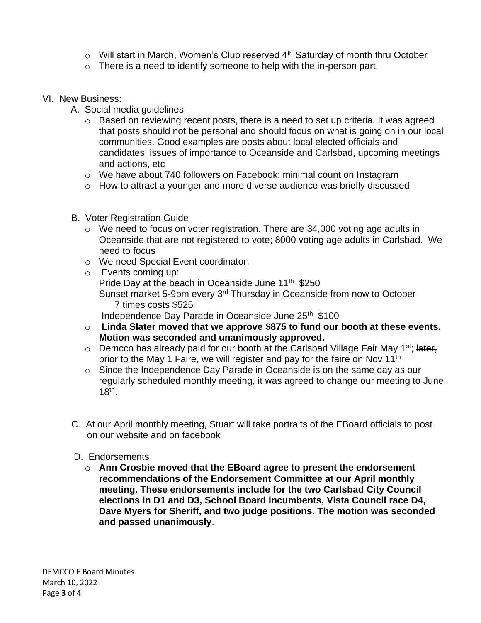- $\circ$  Will start in March, Women's Club reserved  $4<sup>th</sup>$  Saturday of month thru October
- o There is a need to identify someone to help with the in-person part.
- VI. New Business:
	- A. Social media guidelines
		- o Based on reviewing recent posts, there is a need to set up criteria. It was agreed that posts should not be personal and should focus on what is going on in our local communities. Good examples are posts about local elected officials and candidates, issues of importance to Oceanside and Carlsbad, upcoming meetings and actions, etc
		- o We have about 740 followers on Facebook; minimal count on Instagram
		- o How to attract a younger and more diverse audience was briefly discussed
	- B. Voter Registration Guide
		- o We need to focus on voter registration. There are 34,000 voting age adults in Oceanside that are not registered to vote; 8000 voting age adults in Carlsbad. We need to focus
		- o We need Special Event coordinator.
		- o Events coming up: Pride Day at the beach in Oceanside June 11<sup>th</sup> \$250 Sunset market 5-9pm every 3rd Thursday in Oceanside from now to October 7 times costs \$525

Independence Day Parade in Oceanside June 25<sup>th</sup> \$100

- o **Linda Slater moved that we approve \$875 to fund our booth at these events. Motion was seconded and unanimously approved.**
- $\circ$  Demcco has already paid for our booth at the Carlsbad Village Fair May 1<sup>st</sup>; later, prior to the May 1 Faire, we will register and pay for the faire on Nov 11<sup>th</sup>
- o Since the Independence Day Parade in Oceanside is on the same day as our regularly scheduled monthly meeting, it was agreed to change our meeting to June  $18<sup>th</sup>$ .
- C. At our April monthly meeting, Stuart will take portraits of the EBoard officials to post on our website and on facebook
- D. Endorsements
	- o **Ann Crosbie moved that the EBoard agree to present the endorsement recommendations of the Endorsement Committee at our April monthly meeting. These endorsements include for the two Carlsbad City Council elections in D1 and D3, School Board incumbents, Vista Council race D4, Dave Myers for Sheriff, and two judge positions. The motion was seconded and passed unanimously**.